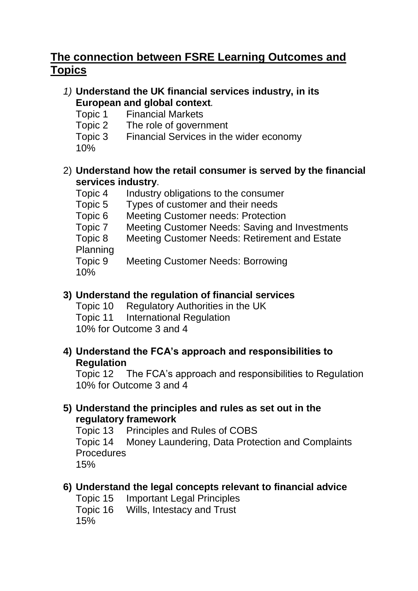# **The connection between FSRE Learning Outcomes and Topics**

### *1)* **Understand the UK financial services industry, in its European and global context***.*

- Topic 1 Financial Markets
- Topic 2 The role of government
- Topic 3 Financial Services in the wider economy 10%

### 2) **Understand how the retail consumer is served by the financial services industry**.

- Topic 4 Industry obligations to the consumer
- Topic 5 Types of customer and their needs
- Topic 6 Meeting Customer needs: Protection
- Topic 7 Meeting Customer Needs: Saving and Investments
- Topic 8 Meeting Customer Needs: Retirement and Estate Planning

Topic 9 Meeting Customer Needs: Borrowing 10%

## **3) Understand the regulation of financial services**

Topic 10 Regulatory Authorities in the UK Topic 11 International Regulation 10% for Outcome 3 and 4

#### **4) Understand the FCA's approach and responsibilities to Regulation**

Topic 12 The FCA's approach and responsibilities to Regulation 10% for Outcome 3 and 4

#### **5) Understand the principles and rules as set out in the regulatory framework**

Topic 13 Principles and Rules of COBS Topic 14 Money Laundering, Data Protection and Complaints Procedures 15%

### **6) Understand the legal concepts relevant to financial advice**

Topic 15 Important Legal Principles Topic 16 Wills, Intestacy and Trust 15%